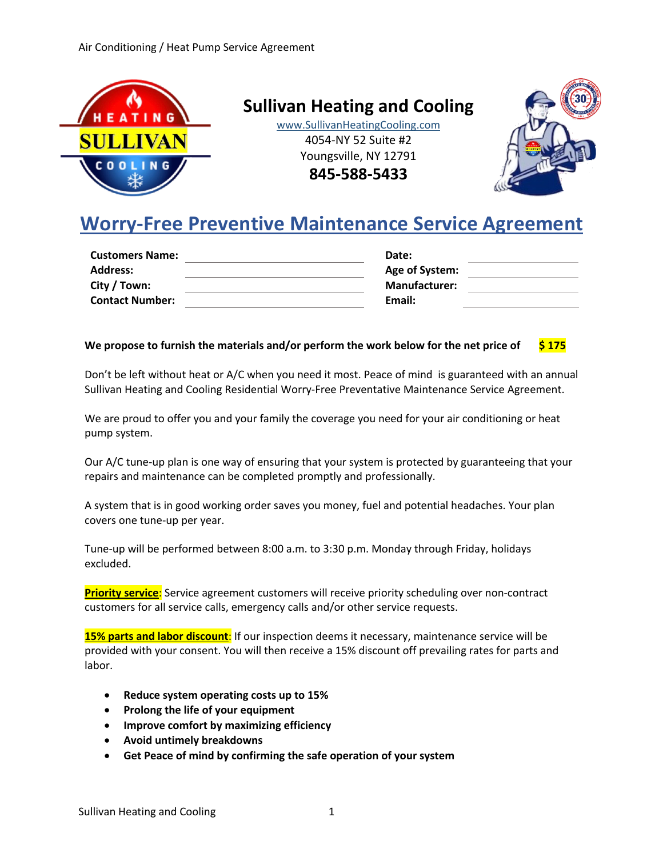

**Sullivan Heating and Cooling**

www.SullivanHeatingCooling.com 4054-NY 52 Suite #2 Youngsville, NY 12791

**845-588-5433**



# **Worry-Free Preventive Maintenance Service Agreement**

| <b>Customers Name:</b> | Date:                |  |
|------------------------|----------------------|--|
| <b>Address:</b>        | Age of System:       |  |
| City / Town:           | <b>Manufacturer:</b> |  |
| <b>Contact Number:</b> | Email:               |  |
|                        |                      |  |

# **We propose to furnish the materials and/or perform the work below for the net price of \$ 175**

Don't be left without heat or A/C when you need it most. Peace of mind is guaranteed with an annual Sullivan Heating and Cooling Residential Worry-Free Preventative Maintenance Service Agreement.

We are proud to offer you and your family the coverage you need for your air conditioning or heat pump system.

Our A/C tune-up plan is one way of ensuring that your system is protected by guaranteeing that your repairs and maintenance can be completed promptly and professionally.

A system that is in good working order saves you money, fuel and potential headaches. Your plan covers one tune-up per year.

Tune-up will be performed between 8:00 a.m. to 3:30 p.m. Monday through Friday, holidays excluded.

**Priority service**: Service agreement customers will receive priority scheduling over non-contract customers for all service calls, emergency calls and/or other service requests.

**15% parts and labor discount**: If our inspection deems it necessary, maintenance service will be provided with your consent. You will then receive a 15% discount off prevailing rates for parts and labor.

- **Reduce system operating costs up to 15%**
- **Prolong the life of your equipment**
- **Improve comfort by maximizing efficiency**
- **Avoid untimely breakdowns**
- **Get Peace of mind by confirming the safe operation of your system**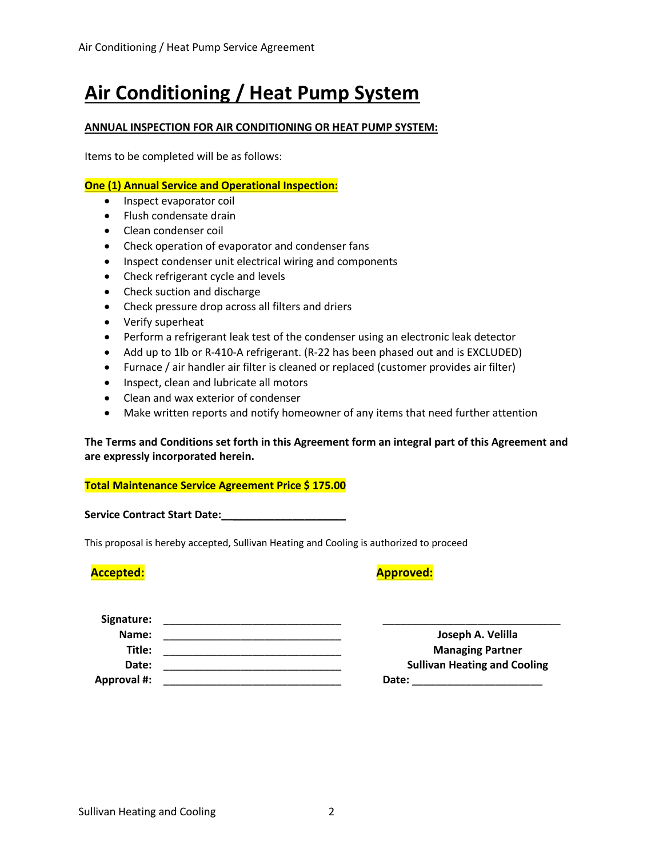# **Air Conditioning / Heat Pump System**

# **ANNUAL INSPECTION FOR AIR CONDITIONING OR HEAT PUMP SYSTEM:**

Items to be completed will be as follows:

## **One (1) Annual Service and Operational Inspection:**

- Inspect evaporator coil
- Flush condensate drain
- Clean condenser coil
- Check operation of evaporator and condenser fans
- Inspect condenser unit electrical wiring and components
- Check refrigerant cycle and levels
- Check suction and discharge
- Check pressure drop across all filters and driers
- Verify superheat
- Perform a refrigerant leak test of the condenser using an electronic leak detector
- Add up to 1lb or R-410-A refrigerant. (R-22 has been phased out and is EXCLUDED)
- Furnace / air handler air filter is cleaned or replaced (customer provides air filter)
- Inspect, clean and lubricate all motors
- Clean and wax exterior of condenser
- Make written reports and notify homeowner of any items that need further attention

# **The Terms and Conditions set forth in this Agreement form an integral part of this Agreement and are expressly incorporated herein.**

### **Total Maintenance Service Agreement Price \$ 175.00**

Service Contract Start Date:

This proposal is hereby accepted, Sullivan Heating and Cooling is authorized to proceed

# **Accepted: Approved:**

| Signature:         |                                     |
|--------------------|-------------------------------------|
| Name:              | Joseph A. Velilla                   |
| Title:             | <b>Managing Partner</b>             |
| Date:              | <b>Sullivan Heating and Cooling</b> |
| <b>Approval #:</b> | Date:                               |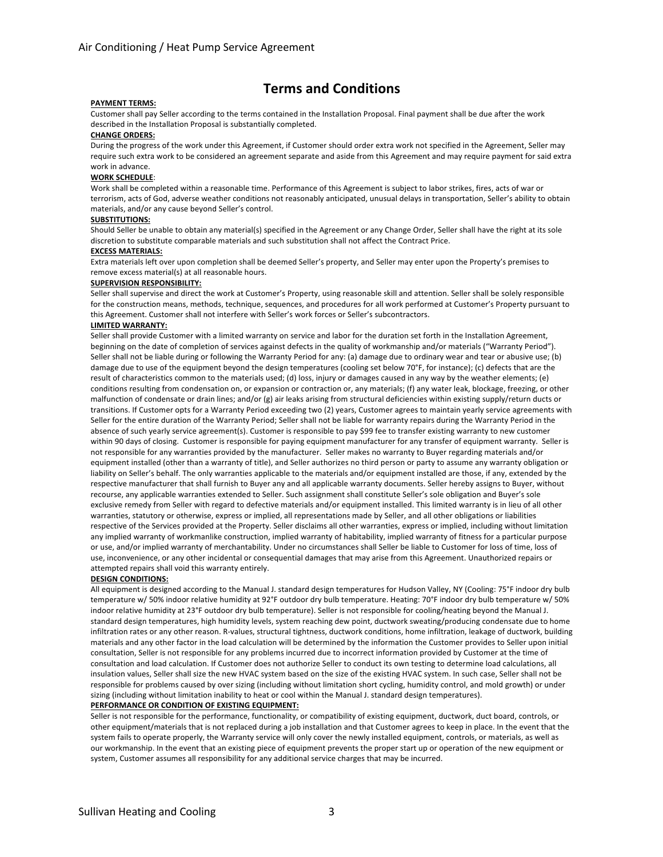# **Terms and Conditions**

#### **PAYMENT TERMS:**

Customer shall pay Seller according to the terms contained in the Installation Proposal. Final payment shall be due after the work described in the Installation Proposal is substantially completed.

#### **CHANGE ORDERS:**

During the progress of the work under this Agreement, if Customer should order extra work not specified in the Agreement, Seller may require such extra work to be considered an agreement separate and aside from this Agreement and may require payment for said extra work in advance.

#### **WORK SCHEDULE**:

Work shall be completed within a reasonable time. Performance of this Agreement is subject to labor strikes, fires, acts of war or terrorism, acts of God, adverse weather conditions not reasonably anticipated, unusual delays in transportation, Seller's ability to obtain materials, and/or any cause beyond Seller's control.

#### **SUBSTITUTIONS:**

Should Seller be unable to obtain any material(s) specified in the Agreement or any Change Order, Seller shall have the right at its sole discretion to substitute comparable materials and such substitution shall not affect the Contract Price.

#### **EXCESS MATERIALS:**

Extra materials left over upon completion shall be deemed Seller's property, and Seller may enter upon the Property's premises to remove excess material(s) at all reasonable hours.

#### **SUPERVISION RESPONSIBILITY:**

Seller shall supervise and direct the work at Customer's Property, using reasonable skill and attention. Seller shall be solely responsible for the construction means, methods, technique, sequences, and procedures for all work performed at Customer's Property pursuant to this Agreement. Customer shall not interfere with Seller's work forces or Seller's subcontractors.

#### **LIMITED WARRANTY:**

Seller shall provide Customer with a limited warranty on service and labor for the duration set forth in the Installation Agreement, beginning on the date of completion of services against defects in the quality of workmanship and/or materials ("Warranty Period"). Seller shall not be liable during or following the Warranty Period for any: (a) damage due to ordinary wear and tear or abusive use; (b) damage due to use of the equipment beyond the design temperatures (cooling set below 70°F, for instance); (c) defects that are the result of characteristics common to the materials used; (d) loss, injury or damages caused in any way by the weather elements; (e) conditions resulting from condensation on, or expansion or contraction or, any materials; (f) any water leak, blockage, freezing, or other malfunction of condensate or drain lines; and/or (g) air leaks arising from structural deficiencies within existing supply/return ducts or transitions. If Customer opts for a Warranty Period exceeding two (2) years, Customer agrees to maintain yearly service agreements with Seller for the entire duration of the Warranty Period; Seller shall not be liable for warranty repairs during the Warranty Period in the absence of such yearly service agreement(s). Customer is responsible to pay \$99 fee to transfer existing warranty to new customer within 90 days of closing. Customer is responsible for paying equipment manufacturer for any transfer of equipment warranty. Seller is not responsible for any warranties provided by the manufacturer. Seller makes no warranty to Buyer regarding materials and/or equipment installed (other than a warranty of title), and Seller authorizes no third person or party to assume any warranty obligation or liability on Seller's behalf. The only warranties applicable to the materials and/or equipment installed are those, if any, extended by the respective manufacturer that shall furnish to Buyer any and all applicable warranty documents. Seller hereby assigns to Buyer, without recourse, any applicable warranties extended to Seller. Such assignment shall constitute Seller's sole obligation and Buyer's sole exclusive remedy from Seller with regard to defective materials and/or equipment installed. This limited warranty is in lieu of all other warranties, statutory or otherwise, express or implied, all representations made by Seller, and all other obligations or liabilities respective of the Services provided at the Property. Seller disclaims all other warranties, express or implied, including without limitation any implied warranty of workmanlike construction, implied warranty of habitability, implied warranty of fitness for a particular purpose or use, and/or implied warranty of merchantability. Under no circumstances shall Seller be liable to Customer for loss of time, loss of use, inconvenience, or any other incidental or consequential damages that may arise from this Agreement. Unauthorized repairs or attempted repairs shall void this warranty entirely.

#### **DESIGN CONDITIONS:**

All equipment is designed according to the Manual J. standard design temperatures for Hudson Valley, NY (Cooling: 75°F indoor dry bulb temperature w/ 50% indoor relative humidity at 92°F outdoor dry bulb temperature. Heating: 70°F indoor dry bulb temperature w/ 50% indoor relative humidity at 23°F outdoor dry bulb temperature). Seller is not responsible for cooling/heating beyond the Manual J. standard design temperatures, high humidity levels, system reaching dew point, ductwork sweating/producing condensate due to home infiltration rates or any other reason. R-values, structural tightness, ductwork conditions, home infiltration, leakage of ductwork, building materials and any other factor in the load calculation will be determined by the information the Customer provides to Seller upon initial consultation, Seller is not responsible for any problems incurred due to incorrect information provided by Customer at the time of consultation and load calculation. If Customer does not authorize Seller to conduct its own testing to determine load calculations, all insulation values, Seller shall size the new HVAC system based on the size of the existing HVAC system. In such case, Seller shall not be responsible for problems caused by over sizing (including without limitation short cycling, humidity control, and mold growth) or under sizing (including without limitation inability to heat or cool within the Manual J. standard design temperatures).

#### **PERFORMANCE OR CONDITION OF EXISTING EQUIPMENT:**

Seller is not responsible for the performance, functionality, or compatibility of existing equipment, ductwork, duct board, controls, or other equipment/materials that is not replaced during a job installation and that Customer agrees to keep in place. In the event that the system fails to operate properly, the Warranty service will only cover the newly installed equipment, controls, or materials, as well as our workmanship. In the event that an existing piece of equipment prevents the proper start up or operation of the new equipment or system, Customer assumes all responsibility for any additional service charges that may be incurred.